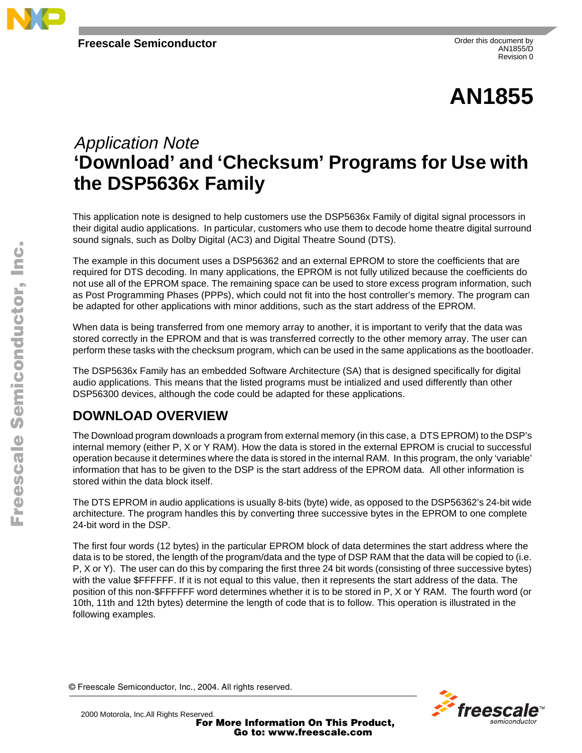

# **AN1855**

## Application Note **'Download' and 'Checksum' Programs for Use with the DSP5636x Family**

This application note is designed to help customers use the DSP5636x Family of digital signal processors in their digital audio applications. In particular, customers who use them to decode home theatre digital surround sound signals, such as Dolby Digital (AC3) and Digital Theatre Sound (DTS).

The example in this document uses a DSP56362 and an external EPROM to store the coefficients that are required for DTS decoding. In many applications, the EPROM is not fully utilized because the coefficients do not use all of the EPROM space. The remaining space can be used to store excess program information, such as Post Programming Phases (PPPs), which could not fit into the host controller's memory. The program can be adapted for other applications with minor additions, such as the start address of the EPROM.

When data is being transferred from one memory array to another, it is important to verify that the data was stored correctly in the EPROM and that is was transferred correctly to the other memory array. The user can perform these tasks with the checksum program, which can be used in the same applications as the bootloader.

The DSP5636x Family has an embedded Software Architecture (SA) that is designed specifically for digital audio applications. This means that the listed programs must be intialized and used differently than other DSP56300 devices, although the code could be adapted for these applications.

### **DOWNLOAD OVERVIEW**

The Download program downloads a program from external memory (in this case, a DTS EPROM) to the DSP's internal memory (either P, X or Y RAM). How the data is stored in the external EPROM is crucial to successful operation because it determines where the data is stored in the internal RAM. In this program, the only 'variable' information that has to be given to the DSP is the start address of the EPROM data. All other information is stored within the data block itself.

The DTS EPROM in audio applications is usually 8-bits (byte) wide, as opposed to the DSP56362's 24-bit wide architecture. The program handles this by converting three successive bytes in the EPROM to one complete 24-bit word in the DSP.

The first four words (12 bytes) in the particular EPROM block of data determines the start address where the data is to be stored, the length of the program/data and the type of DSP RAM that the data will be copied to (i.e. P, X or Y). The user can do this by comparing the first three 24 bit words (consisting of three successive bytes) with the value \$FFFFFF. If it is not equal to this value, then it represents the start address of the data. The position of this non-\$FFFFFF word determines whether it is to be stored in P, X or Y RAM. The fourth word (or 10th, 11th and 12th bytes) determine the length of code that is to follow. This operation is illustrated in the following examples.

© Freescale Semiconductor, Inc., 2004. All rights reserved.



For More Information On This Product, Go to: www.freescale.com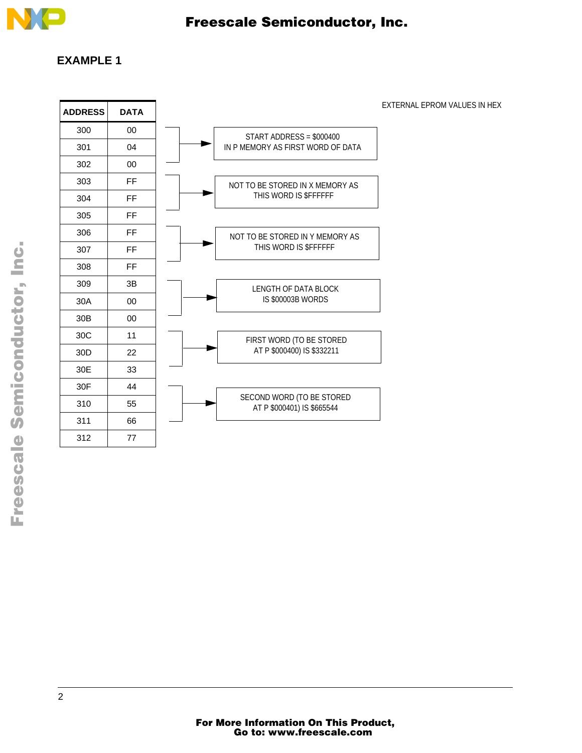

#### **EXAMPLE 1**

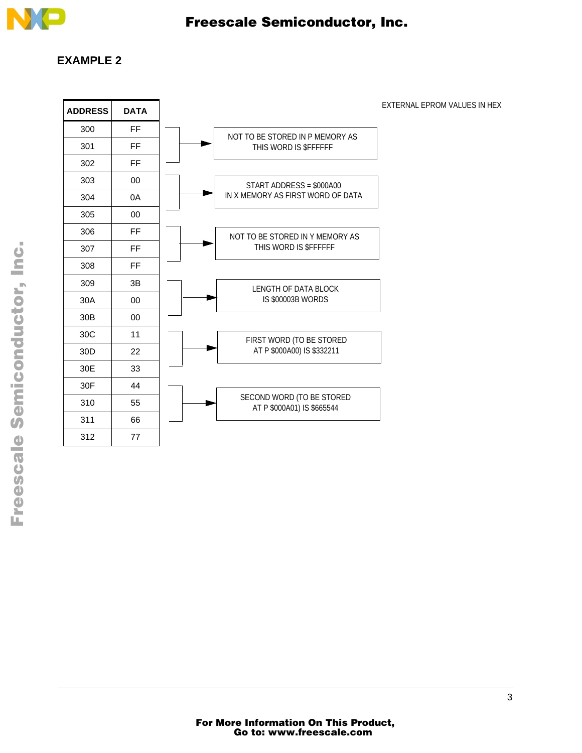

#### **EXAMPLE 2**

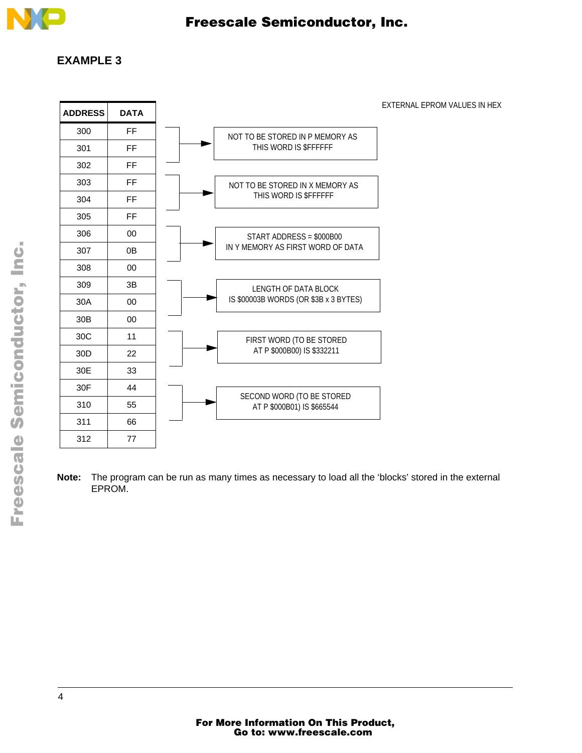

#### **EXAMPLE 3**



**Note:** The program can be run as many times as necessary to load all the 'blocks' stored in the external EPROM.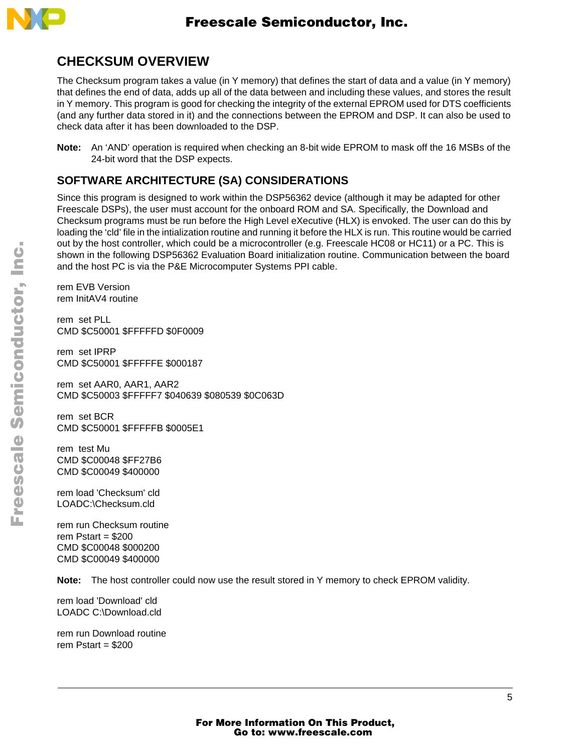

### **CHECKSUM OVERVIEW**

The Checksum program takes a value (in Y memory) that defines the start of data and a value (in Y memory) that defines the end of data, adds up all of the data between and including these values, and stores the result in Y memory. This program is good for checking the integrity of the external EPROM used for DTS coefficients (and any further data stored in it) and the connections between the EPROM and DSP. It can also be used to check data after it has been downloaded to the DSP.

**Note:** An 'AND' operation is required when checking an 8-bit wide EPROM to mask off the 16 MSBs of the 24-bit word that the DSP expects.

### **SOFTWARE ARCHITECTURE (SA) CONSIDERATIONS**

Since this program is designed to work within the DSP56362 device (although it may be adapted for other Freescale DSPs), the user must account for the onboard ROM and SA. Specifically, the Download and Checksum programs must be run before the High Level eXecutive (HLX) is envoked. The user can do this by loading the 'cld' file in the intialization routine and running it before the HLX is run. This routine would be carried out by the host controller, which could be a microcontroller (e.g. Freescale HC08 or HC11) or a PC. This is shown in the following DSP56362 Evaluation Board initialization routine. Communication between the board and the host PC is via the P&E Microcomputer Systems PPI cable.

rem EVB Version rem InitAV4 routine

rem set PLL CMD \$C50001 \$FFFFFD \$0F0009

rem set IPRP CMD \$C50001 \$FFFFFE \$000187

rem set AAR0, AAR1, AAR2 CMD \$C50003 \$FFFFF7 \$040639 \$080539 \$0C063D

rem set BCR CMD \$C50001 \$FFFFFB \$0005E1

rem test Mu CMD \$C00048 \$FF27B6 CMD \$C00049 \$400000

rem load 'Checksum' cld LOADC:\Checksum.cld

rem run Checksum routine rem Pstart =  $$200$ CMD \$C00048 \$000200 CMD \$C00049 \$400000

**Note:** The host controller could now use the result stored in Y memory to check EPROM validity.

rem load 'Download' cld LOADC C:\Download.cld

rem run Download routine rem Pstart =  $$200$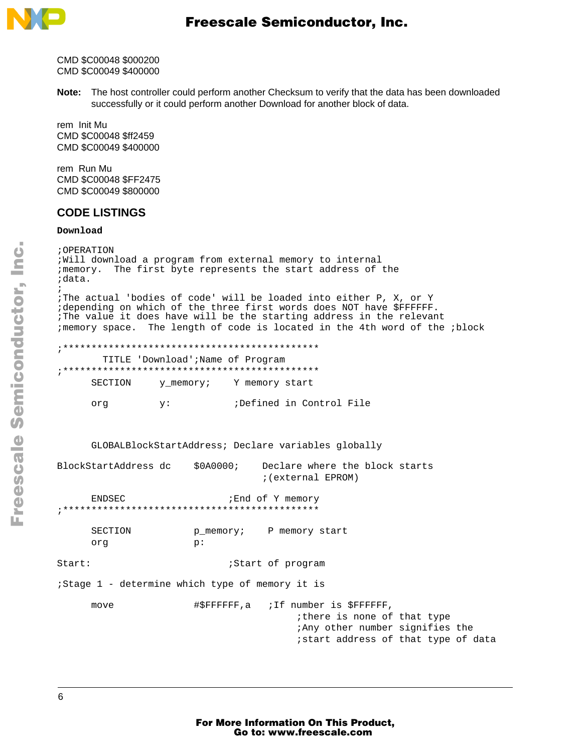

CMD \$C00048 \$000200 CMD \$C00049 \$400000

Note: The host controller could perform another Checksum to verify that the data has been downloaded successfully or it could perform another Download for another block of data.

rem Init Mu CMD \$C00048 \$ff2459 CMD \$C00049 \$400000

rem Run Mu CMD \$C00048 \$FF2475 CMD \$C00049 \$800000

#### **CODE LISTINGS**

#### Download

; OPERATION ; Will download a program from external memory to internal ; memory. The first byte represents the start address of the ;data. The actual 'bodies of code' will be loaded into either P, X, or Y idepending on which of the three first words does NOT have \$FFFFFF. The value it does have will be the starting address in the relevant ; memory space. The length of code is located in the 4th word of the ; block TITLE 'Download'; Name of Program SECTION y\_memory; Y memory start ;Defined in Control File org  $y:$ GLOBALBlockStartAddress; Declare variables globally BlockStartAddress dc  $$0A0000;$ Declare where the block starts ; (external EPROM) ENDSEC ;End of Y memory \*\*\*\*\*\*\*\*\*\*\*\*\*\* SECTION p\_memory; P memory start  $p:$ ora  $Start:$ ;Start of program ;Stage 1 - determine which type of memory it is  $move$ #\$FFFFFF, a ; If number is \$FFFFFF, ithere is none of that type :Any other number signifies the istart address of that type of data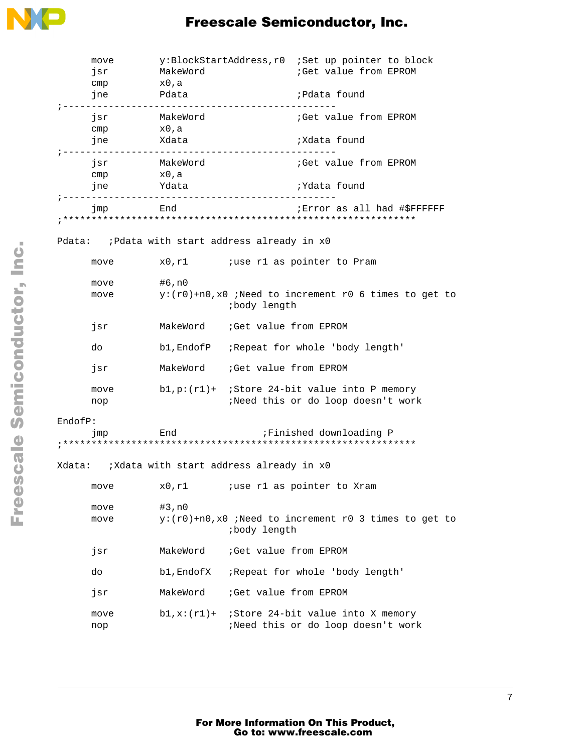

### Freescale Semiconductor, Inc.

| move<br>jsr<br>cmp<br>jne                      | MakeWord<br>x0,a<br>Pdata                         |                                                                                        | y:BlockStartAddress, r0 :Set up pointer to block<br>;Get value from EPROM<br>;Pdata found |  |  |
|------------------------------------------------|---------------------------------------------------|----------------------------------------------------------------------------------------|-------------------------------------------------------------------------------------------|--|--|
| isr<br>cmp<br>jne Xdata                        | MakeWord<br>x0,a                                  |                                                                                        | Get value from EPROM<br>;Xdata found                                                      |  |  |
| jsr<br>cmp                                     | MakeWord<br>x0,a<br>jne Ydata                     |                                                                                        | Get value from EPROM<br>;Ydata found                                                      |  |  |
| jmp                                            | -----------------------------------<br><b>End</b> |                                                                                        | Error as all had #\$FFFFFF;                                                               |  |  |
| Pdata: ;Pdata with start address already in x0 |                                                   |                                                                                        |                                                                                           |  |  |
| move                                           |                                                   |                                                                                        | x0, r1 <i>i</i> use r1 as pointer to Pram                                                 |  |  |
| move<br>move                                   | #6,n0                                             | <i>ibody</i> length                                                                    | $y:(r0)+n0,x0$ ; Need to increment r0 6 times to get to                                   |  |  |
| jsr                                            |                                                   | MakeWord : Get value from EPROM                                                        |                                                                                           |  |  |
| do                                             |                                                   |                                                                                        | b1, EndofP : Repeat for whole 'body length'                                               |  |  |
| jsr                                            |                                                   | MakeWord : Get value from EPROM                                                        |                                                                                           |  |  |
| move<br>nop                                    |                                                   | $b1, p:(r1)+$ ; Store 24-bit value into P memory<br>;Need this or do loop doesn't work |                                                                                           |  |  |
| EndofP:<br>jmp                                 |                                                   |                                                                                        | End Finished downloading P                                                                |  |  |
|                                                |                                                   |                                                                                        |                                                                                           |  |  |
| move                                           | x0,r1                                             |                                                                                        | <i>i</i> use r1 as pointer to Xram                                                        |  |  |
| move<br>move                                   | #3,n0                                             | $y:(r0)+n0,x0$ ; Need to increment r0 3 times to get to<br>body length;                |                                                                                           |  |  |
| jsr                                            | MakeWord                                          | ;Get value from EPROM                                                                  |                                                                                           |  |  |
| do                                             | b1, EndofX                                        |                                                                                        | Repeat for whole 'body length'                                                            |  |  |
| jsr                                            | MakeWord                                          | ;Get value from EPROM                                                                  |                                                                                           |  |  |
| move<br>nop                                    | $b1, x:(r1)+$                                     |                                                                                        | Store 24-bit value into X memory<br>;Need this or do loop doesn't work                    |  |  |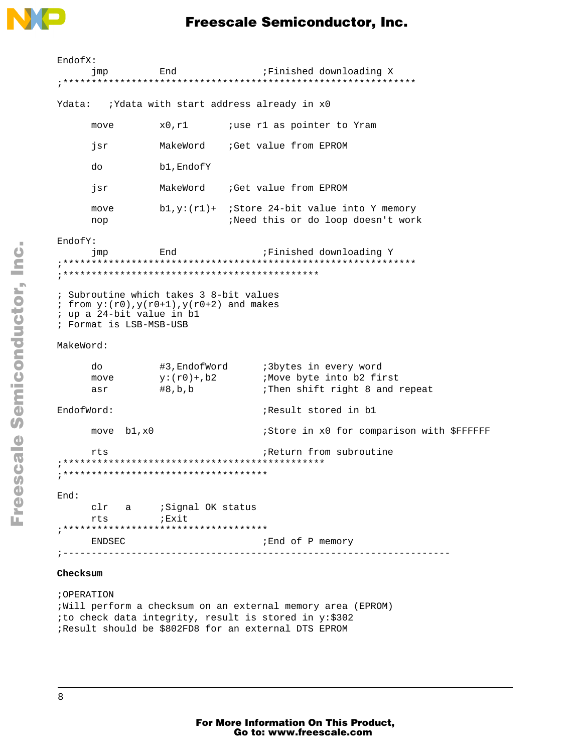

### **Freescale Semiconductor, Inc.**

| EndofX:    |                                                      |                                                                                              |                                                                         |
|------------|------------------------------------------------------|----------------------------------------------------------------------------------------------|-------------------------------------------------------------------------|
|            | jmp<br>End                                           |                                                                                              | ;Finished downloading X                                                 |
|            |                                                      |                                                                                              |                                                                         |
| Ydata:     |                                                      |                                                                                              | ;Ydata with start address already in x0                                 |
|            | move                                                 | x0,r1                                                                                        | <i>i</i> use r1 as pointer to Yram                                      |
|            | jsr                                                  | MakeWord                                                                                     | Get value from EPROM                                                    |
|            | do                                                   | b1, EndofY                                                                                   |                                                                         |
|            | jsr                                                  |                                                                                              | MakeWord : Get value from EPROM                                         |
|            | move<br>nop                                          | $b1, y:(r1)+$                                                                                | ;Store 24-bit value into Y memory<br>;Need this or do loop doesn't work |
| EndofY:    |                                                      |                                                                                              |                                                                         |
|            | jmp                                                  | End                                                                                          | Finished downloading Y                                                  |
|            |                                                      |                                                                                              |                                                                         |
|            |                                                      |                                                                                              |                                                                         |
|            | ; up a 24-bit value in b1<br>; Format is LSB-MSB-USB | ; Subroutine which takes 3 8-bit values<br>; from $y:(r0)$ , $y(r0+1)$ , $y(r0+2)$ and makes |                                                                         |
| MakeWord:  |                                                      |                                                                                              |                                                                         |
|            | do<br>#3,EndofWord                                   |                                                                                              | :3bytes in every word                                                   |
|            | move                                                 | y:(r0)+,b2                                                                                   | <i>i</i> Move byte into b2 first                                        |
|            | asr                                                  | #8,b,b                                                                                       | :Then shift right 8 and repeat                                          |
| EndofWord: |                                                      |                                                                                              | Result stored in b1                                                     |
|            | move $b1, x0$                                        |                                                                                              | :Store in x0 for comparison with \$FFFFFF                               |
|            | rts                                                  |                                                                                              | ;Return from subroutine                                                 |
|            |                                                      |                                                                                              |                                                                         |
|            |                                                      |                                                                                              |                                                                         |
| End:       |                                                      |                                                                                              |                                                                         |
|            |                                                      | clr a (Signal OK status                                                                      |                                                                         |
|            | rts                                                  | ;Exit                                                                                        |                                                                         |
|            |                                                      |                                                                                              |                                                                         |
|            | ENDSEC                                               | -----------------------------                                                                | ; End of P memory                                                       |
|            |                                                      |                                                                                              |                                                                         |

#### $\mathop{\hbox{\rm Checksum}}$

; OPERATION ; Will perform a checksum on an external memory area (EPROM) ito check data integrity, result is stored in y:\$302 ;Result should be \$802FD8 for an external DTS EPROM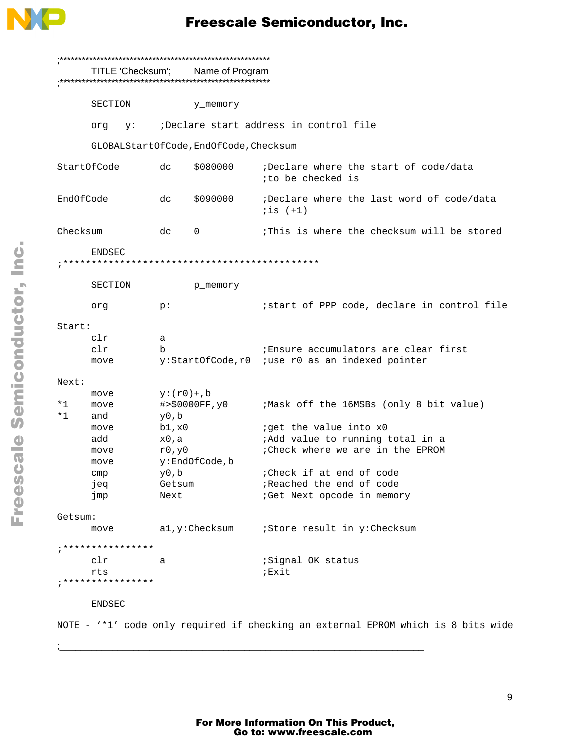

|           | TITLE 'Checksum'; Name of Program |    |               |                                        |                                                                                   |  |
|-----------|-----------------------------------|----|---------------|----------------------------------------|-----------------------------------------------------------------------------------|--|
|           | SECTION                           |    |               | y_memory                               |                                                                                   |  |
|           | org                               | y: |               |                                        | Declare start address in control file;                                            |  |
|           |                                   |    |               | GLOBALStartOfCode, EndOfCode, Checksum |                                                                                   |  |
|           | StartOfCode                       |    | dc            | \$080000                               | ;Declare where the start of code/data<br>ito be checked is                        |  |
| EndOfCode |                                   |    | dc            | \$090000                               | ;Declare where the last word of code/data<br>$i$ is $(+1)$                        |  |
| Checksum  |                                   |    | dc            | $\mathbf 0$                            | : This is where the checksum will be stored                                       |  |
|           | <b>ENDSEC</b>                     |    |               |                                        |                                                                                   |  |
|           | SECTION                           |    |               | p_memory                               |                                                                                   |  |
|           | org                               |    | p:            |                                        | istart of PPP code, declare in control file                                       |  |
| Start:    |                                   |    |               |                                        |                                                                                   |  |
|           | clr                               |    | а             |                                        |                                                                                   |  |
|           | clr                               |    | b             |                                        | Ensure accumulators are clear first                                               |  |
|           | y:StartOfCode,r0<br>move          |    |               | <i>i</i> use r0 as an indexed pointer  |                                                                                   |  |
| Next:     |                                   |    |               |                                        |                                                                                   |  |
|           | move                              |    | $y:(r0)+$ , b |                                        |                                                                                   |  |
| *1        | move                              |    |               | #>\$0000FF, y0                         | ; Mask off the 16MSBs (only 8 bit value)                                          |  |
| $*1$      | and                               |    | y0,b          |                                        |                                                                                   |  |
|           | move                              |    | b1, x0        |                                        | <i>iget the value into x0</i>                                                     |  |
| add       |                                   |    | x0,a          |                                        | ;Add value to running total in a                                                  |  |
|           | r0, y0<br>move                    |    |               | : Check where we are in the EPROM      |                                                                                   |  |
| move      |                                   |    | y:EndOfCode,b |                                        |                                                                                   |  |
|           | cmp                               |    | $y_0$ , b     |                                        | : Check if at end of code                                                         |  |
|           | jeq                               |    | Getsum        |                                        | ;Reached the end of code                                                          |  |
|           | jmp<br>Next                       |    |               | ; Get Next opcode in memory            |                                                                                   |  |
| Getsum:   |                                   |    |               |                                        |                                                                                   |  |
|           | al,y:Checksum<br>move             |    |               | ;Store result in y:Checksum            |                                                                                   |  |
|           | ; * * * * * * * * * * * * * * * * |    |               |                                        |                                                                                   |  |
|           | clr                               |    | a             |                                        | ; Signal OK status                                                                |  |
|           | rts                               |    |               |                                        | <i>;</i> Exit                                                                     |  |
|           | ; * * * * * * * * * * * * * * * * |    |               |                                        |                                                                                   |  |
|           | <b>ENDSEC</b>                     |    |               |                                        |                                                                                   |  |
|           |                                   |    |               |                                        | NOTE - '*1' code only required if checking an external EPROM which is 8 bits wide |  |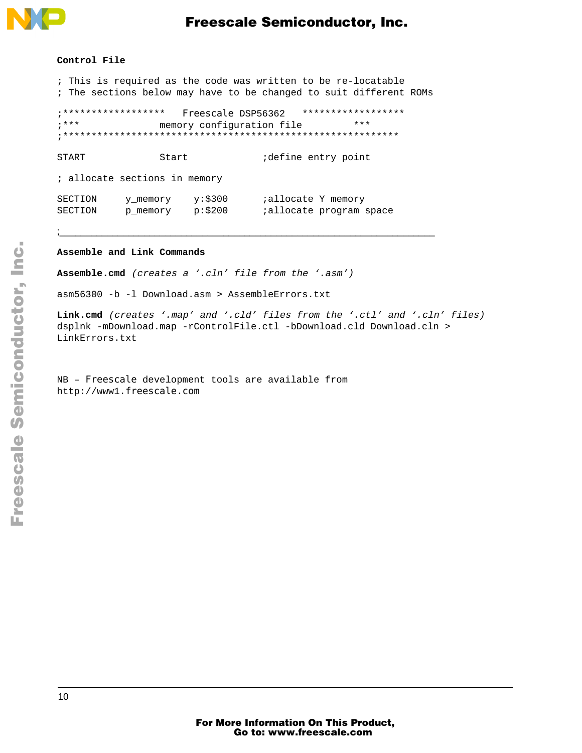

### **Freescale Semiconductor, Inc.**

#### Control File

; This is required as the code was written to be re-locatable ; The sections below may have to be changed to suit different ROMs

```
;****************** Freescale DSP56362
                                             ******************
;***\star\star\starmemory configuration file
```
**START** Start idefine entry point

; allocate sections in memory

| SECTION | y memory | $v:$ \$300 | <i>i</i> allocate Y memory      |  |
|---------|----------|------------|---------------------------------|--|
| SECTION | p memory | p: \$200   | <i>i</i> allocate program space |  |

#### Assemble and Link Commands

Assemble.cmd (creates a '.cln' file from the '.asm')

asm56300 -b -l Download.asm > AssembleErrors.txt

Link.cmd (creates '.map' and '.cld' files from the '.ctl' and '.cln' files) dsplnk -mDownload.map -rControlFile.ctl -bDownload.cld Download.cln > LinkErrors.txt

NB - Freescale development tools are available from http://www1.freescale.com